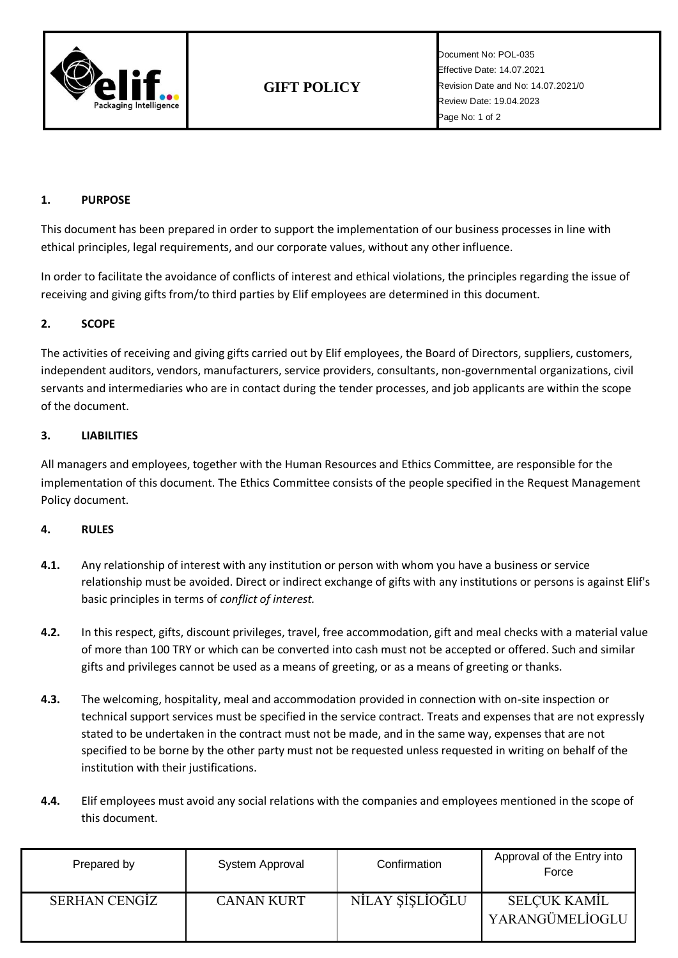

Document No: POL-035 Effective Date: 14.07.2021 Revision Date and No: 14.07.2021/0 Review Date: 19.04.2023 Page No: 1 of 2

## **1. PURPOSE**

This document has been prepared in order to support the implementation of our business processes in line with ethical principles, legal requirements, and our corporate values, without any other influence.

In order to facilitate the avoidance of conflicts of interest and ethical violations, the principles regarding the issue of receiving and giving gifts from/to third parties by Elif employees are determined in this document.

## **2. SCOPE**

The activities of receiving and giving gifts carried out by Elif employees, the Board of Directors, suppliers, customers, independent auditors, vendors, manufacturers, service providers, consultants, non-governmental organizations, civil servants and intermediaries who are in contact during the tender processes, and job applicants are within the scope of the document.

### **3. LIABILITIES**

All managers and employees, together with the Human Resources and Ethics Committee, are responsible for the implementation of this document. The Ethics Committee consists of the people specified in the Request Management Policy document.

#### **4. RULES**

- **4.1.** Any relationship of interest with any institution or person with whom you have a business or service relationship must be avoided. Direct or indirect exchange of gifts with any institutions or persons is against Elif's basic principles in terms of *conflict of interest.*
- **4.2.** In this respect, gifts, discount privileges, travel, free accommodation, gift and meal checks with a material value of more than 100 TRY or which can be converted into cash must not be accepted or offered. Such and similar gifts and privileges cannot be used as a means of greeting, or as a means of greeting or thanks.
- **4.3.** The welcoming, hospitality, meal and accommodation provided in connection with on-site inspection or technical support services must be specified in the service contract. Treats and expenses that are not expressly stated to be undertaken in the contract must not be made, and in the same way, expenses that are not specified to be borne by the other party must not be requested unless requested in writing on behalf of the institution with their justifications.
- **4.4.** Elif employees must avoid any social relations with the companies and employees mentioned in the scope of this document.

| Prepared by          | System Approval | Confirmation    | Approval of the Entry into<br>Force |
|----------------------|-----------------|-----------------|-------------------------------------|
| <b>SERHAN CENGIZ</b> | CANAN KURT      | NİLAY ŞİŞLİOĞLU | SELCUK KAMİL<br>YARANGÜMELİOGLU     |